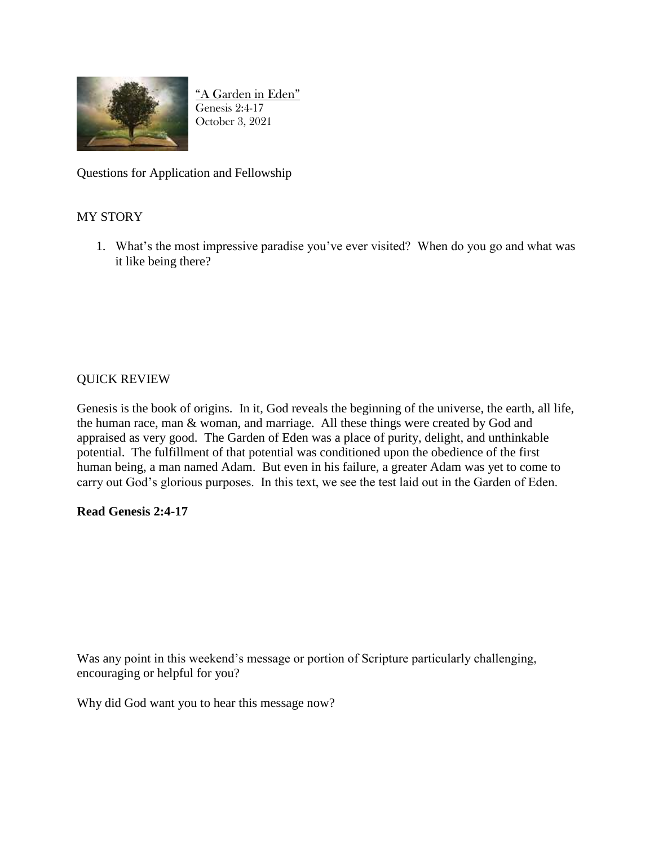

"A Garden in Eden" Genesis 2:4-17 October 3, 2021

Questions for Application and Fellowship

## MY STORY

1. What's the most impressive paradise you've ever visited? When do you go and what was it like being there?

## QUICK REVIEW

Genesis is the book of origins. In it, God reveals the beginning of the universe, the earth, all life, the human race, man & woman, and marriage. All these things were created by God and appraised as very good. The Garden of Eden was a place of purity, delight, and unthinkable potential. The fulfillment of that potential was conditioned upon the obedience of the first human being, a man named Adam. But even in his failure, a greater Adam was yet to come to carry out God's glorious purposes. In this text, we see the test laid out in the Garden of Eden.

## **Read Genesis 2:4-17**

Was any point in this weekend's message or portion of Scripture particularly challenging, encouraging or helpful for you?

Why did God want you to hear this message now?